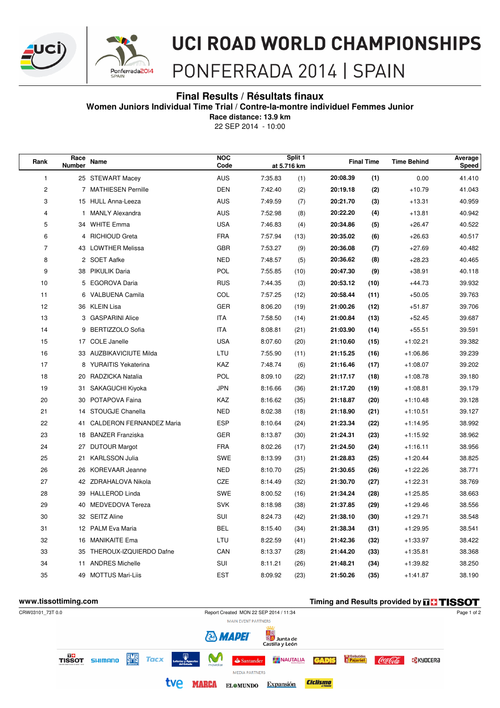



# **UCI ROAD WORLD CHAMPIONSHIPS**

## PONFERRADA 2014 | SPAIN

### **Final Results / Résultats finaux**

**Women Juniors Individual Time Trial / Contre-la-montre individuel Femmes Junior**

**Race distance: 13.9 km**

22 SEP 2014 - 10:00

| Rank           | Race<br>Number | <b>Name</b>                 | <b>NOC</b><br>Code |         | Split 1<br>at 5.716 km |          | <b>Final Time</b> | <b>Time Behind</b> | Average<br><b>Speed</b> |
|----------------|----------------|-----------------------------|--------------------|---------|------------------------|----------|-------------------|--------------------|-------------------------|
| 1              |                | 25 STEWART Macey            | AUS                | 7:35.83 | (1)                    | 20:08.39 | (1)               | 0.00               | 41.410                  |
| $\overline{c}$ |                | 7 MATHIESEN Pernille        | <b>DEN</b>         | 7:42.40 | (2)                    | 20:19.18 | (2)               | $+10.79$           | 41.043                  |
| 3              |                | 15 HULL Anna-Leeza          | AUS                | 7:49.59 | (7)                    | 20:21.70 | (3)               | $+13.31$           | 40.959                  |
| 4              | 1              | <b>MANLY Alexandra</b>      | <b>AUS</b>         | 7:52.98 | (8)                    | 20:22.20 | (4)               | $+13.81$           | 40.942                  |
| 5              | 34             | <b>WHITE Emma</b>           | <b>USA</b>         | 7:46.83 | (4)                    | 20:34.86 | (5)               | $+26.47$           | 40.522                  |
| 6              | 4              | <b>RICHIOUD Greta</b>       | <b>FRA</b>         | 7:57.94 | (13)                   | 20:35.02 | (6)               | $+26.63$           | 40.517                  |
| $\overline{7}$ | 43             | <b>LOWTHER Melissa</b>      | <b>GBR</b>         | 7:53.27 | (9)                    | 20:36.08 | (7)               | $+27.69$           | 40.482                  |
| 8              |                | 2 SOET Aafke                | <b>NED</b>         | 7:48.57 | (5)                    | 20:36.62 | (8)               | $+28.23$           | 40.465                  |
| 9              | 38             | <b>PIKULIK Daria</b>        | <b>POL</b>         | 7:55.85 | (10)                   | 20:47.30 | (9)               | $+38.91$           | 40.118                  |
| 10             |                | 5 EGOROVA Daria             | <b>RUS</b>         | 7:44.35 | (3)                    | 20:53.12 | (10)              | $+44.73$           | 39.932                  |
| 11             | 6              | VALBUENA Camila             | COL                | 7:57.25 | (12)                   | 20:58.44 | (11)              | $+50.05$           | 39.763                  |
| 12             |                | 36 KLEIN Lisa               | <b>GER</b>         | 8:06.20 | (19)                   | 21:00.26 | (12)              | $+51.87$           | 39.706                  |
| 13             |                | 3 GASPARINI Alice           | <b>ITA</b>         | 7:58.50 | (14)                   | 21:00.84 | (13)              | $+52.45$           | 39.687                  |
| 14             | 9              | <b>BERTIZZOLO Sofia</b>     | <b>ITA</b>         | 8:08.81 | (21)                   | 21:03.90 | (14)              | $+55.51$           | 39.591                  |
| 15             |                | 17 COLE Janelle             | <b>USA</b>         | 8:07.60 | (20)                   | 21:10.60 | (15)              | $+1:02.21$         | 39.382                  |
| 16             |                | 33 AUZBIKAVICIUTE Milda     | LTU                | 7:55.90 | (11)                   | 21:15.25 | (16)              | $+1:06.86$         | 39.239                  |
| 17             | 8              | YURAITIS Yekaterina         | KAZ                | 7:48.74 | (6)                    | 21:16.46 | (17)              | $+1:08.07$         | 39.202                  |
| 18             |                | 20 RADZICKA Natalia         | <b>POL</b>         | 8:09.10 | (22)                   | 21:17.17 | (18)              | $+1:08.78$         | 39.180                  |
| 19             |                | 31 SAKAGUCHI Kiyoka         | <b>JPN</b>         | 8:16.66 | (36)                   | 21:17.20 | (19)              | $+1:08.81$         | 39.179                  |
| 20             |                | 30 POTAPOVA Faina           | KAZ                | 8:16.62 | (35)                   | 21:18.87 | (20)              | $+1:10.48$         | 39.128                  |
| 21             |                | 14 STOUGJE Chanella         | <b>NED</b>         | 8:02.38 | (18)                   | 21:18.90 | (21)              | $+1:10.51$         | 39.127                  |
| 22             |                | 41 CALDERON FERNANDEZ Maria | <b>ESP</b>         | 8:10.64 | (24)                   | 21:23.34 | (22)              | $+1:14.95$         | 38.992                  |
| 23             |                | 18 BANZER Franziska         | <b>GER</b>         | 8:13.87 | (30)                   | 21:24.31 | (23)              | $+1:15.92$         | 38.962                  |
| 24             |                | 27 DUTOUR Margot            | <b>FRA</b>         | 8:02.26 | (17)                   | 21:24.50 | (24)              | $+1:16.11$         | 38.956                  |
| 25             |                | 21 KARLSSON Julia           | SWE                | 8:13.99 | (31)                   | 21:28.83 | (25)              | $+1:20.44$         | 38.825                  |
| 26             |                | 26 KOREVAAR Jeanne          | <b>NED</b>         | 8:10.70 | (25)                   | 21:30.65 | (26)              | $+1:22.26$         | 38.771                  |
| 27             |                | 42 ZDRAHALOVA Nikola        | CZE                | 8:14.49 | (32)                   | 21:30.70 | (27)              | $+1:22.31$         | 38.769                  |
| 28             |                | 39 HALLEROD Linda           | SWE                | 8:00.52 | (16)                   | 21:34.24 | (28)              | $+1:25.85$         | 38.663                  |
| 29             |                | 40 MEDVEDOVA Tereza         | <b>SVK</b>         | 8:18.98 | (38)                   | 21:37.85 | (29)              | $+1:29.46$         | 38.556                  |
| 30             |                | 32 SEITZ Aline              | SUI                | 8:24.73 | (42)                   | 21:38.10 | (30)              | $+1:29.71$         | 38.548                  |
| 31             |                | 12 PALM Eva Maria           | <b>BEL</b>         | 8:15.40 | (34)                   | 21:38.34 | (31)              | $+1:29.95$         | 38.541                  |
| 32             |                | 16 MANIKAITE Ema            | LTU                | 8:22.59 | (41)                   | 21:42.36 | (32)              | $+1:33.97$         | 38.422                  |
| 33             |                | 35 THEROUX-IZQUIERDO Dafne  | CAN                | 8:13.37 | (28)                   | 21:44.20 | (33)              | $+1:35.81$         | 38.368                  |
| 34             | 11             | <b>ANDRES Michelle</b>      | SUI                | 8:11.21 | (26)                   | 21:48.21 | (34)              | $+1:39.82$         | 38.250                  |
| 35             |                | 49 MOTTUS Mari-Liis         | <b>EST</b>         | 8:09.92 | (23)                   | 21:50.26 | (35)              | $+1:41.87$         | 38.190                  |

#### **WWW.tissottiming.com Timing and Results provided by THISSOT** CRW03101\_73T 0.0 Report Created MON 22 SEP 2014 / 11:34 Page 1 of 2 MAIN EVENT PARTNERS <mark>日</mark><br>※ Junta de<br>Castilla y León **& MADEI DO**<br>TISSOT SHIMANO **EME Tacx** M NAUTALIA **Pajariel** Coca Cola **B** KYOCERƏ  $\triangle$  Santander **GADIS MEDIA PARTNERS** tve marca **Ciclismo** ELOMUNDO Expansión